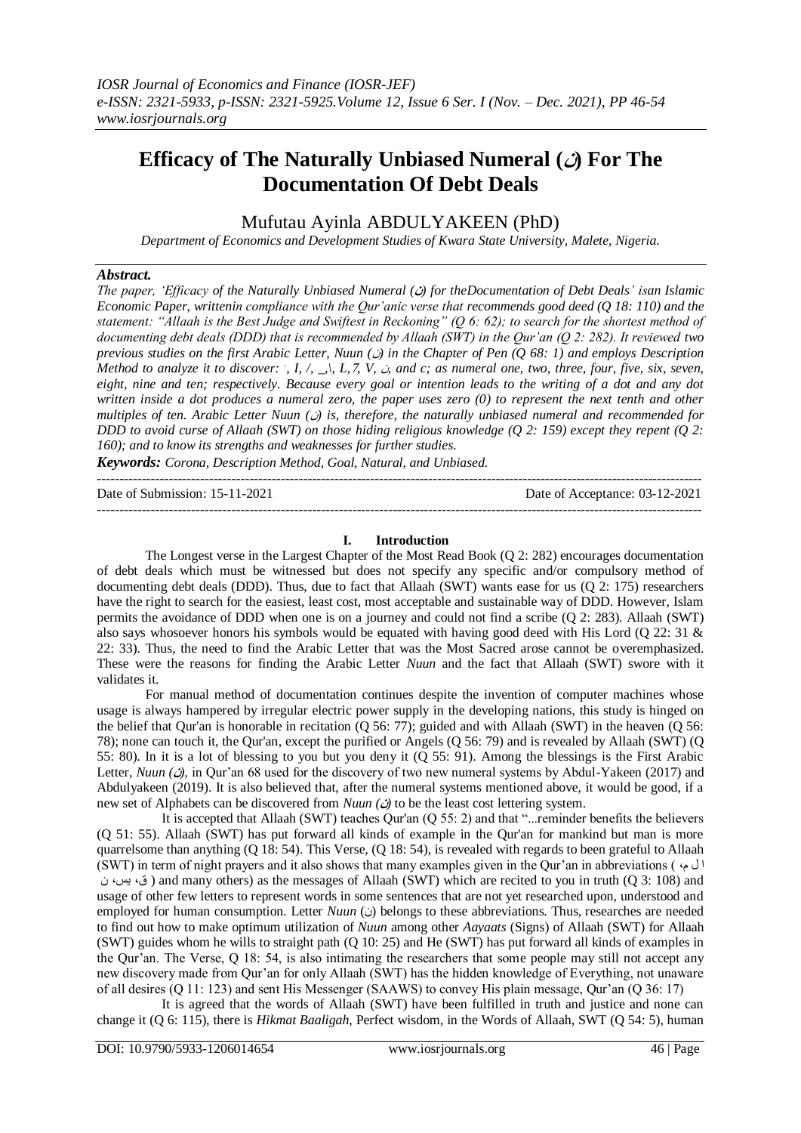# **Efficacy of The Naturally Unbiased Numeral (ن (For The Documentation Of Debt Deals**

Mufutau Ayinla ABDULYAKEEN (PhD)

*Department of Economics and Development Studies of Kwara State University, Malete, Nigeria.*

## *Abstract.*

*The paper, 'Efficacy of the Naturally Unbiased Numeral (***ن** *(for theDocumentation of Debt Deals' isan Islamic Economic Paper, writtenin compliance with the Qur'anic verse that recommends good deed (Q 18: 110) and the statement: "Allaah is the Best Judge and Swiftest in Reckoning" (Q 6: 62); to search for the shortest method of documenting debt deals (DDD) that is recommended by Allaah (SWT) in the Qur'an (Q 2: 282). It reviewed two previous studies on the first Arabic Letter, Nuun (*ن *(in the Chapter of Pen (Q 68: 1) and employs Description Method to analyze it to discover:*  $\cdot$ , *I,*  $\cdot$ ,  $\cdot$ , *L*, *Z*, *V*,  $\dot{\cdot}$ , and c; as numeral one, two, three, four, five, six, seven, *eight, nine and ten; respectively. Because every goal or intention leads to the writing of a dot and any dot written inside a dot produces a numeral zero, the paper uses zero (0) to represent the next tenth and other multiples of ten. Arabic Letter Nuun (*ن *(is, therefore, the naturally unbiased numeral and recommended for DDD to avoid curse of Allaah (SWT) on those hiding religious knowledge (Q 2: 159) except they repent (Q 2: 160); and to know its strengths and weaknesses for further studies.*

*Keywords: Corona, Description Method, Goal, Natural, and Unbiased.* ---------------------------------------------------------------------------------------------------------------------------------------

Date of Submission: 15-11-2021 Date of Acceptance: 03-12-2021

---------------------------------------------------------------------------------------------------------------------------------------

## **I. Introduction**

The Longest verse in the Largest Chapter of the Most Read Book (Q 2: 282) encourages documentation of debt deals which must be witnessed but does not specify any specific and/or compulsory method of documenting debt deals (DDD). Thus, due to fact that Allaah (SWT) wants ease for us (Q 2: 175) researchers have the right to search for the easiest, least cost, most acceptable and sustainable way of DDD. However, Islam permits the avoidance of DDD when one is on a journey and could not find a scribe (Q 2: 283). Allaah (SWT) also says whosoever honors his symbols would be equated with having good deed with His Lord (Q 22: 31 & 22: 33). Thus, the need to find the Arabic Letter that was the Most Sacred arose cannot be overemphasized. These were the reasons for finding the Arabic Letter *Nuun* and the fact that Allaah (SWT) swore with it validates it.

For manual method of documentation continues despite the invention of computer machines whose usage is always hampered by irregular electric power supply in the developing nations, this study is hinged on the belief that Qur'an is honorable in recitation (Q 56: 77); guided and with Allaah (SWT) in the heaven (Q 56: 78); none can touch it, the Qur'an, except the purified or Angels (Q 56: 79) and is revealed by Allaah (SWT) (Q 55: 80). In it is a lot of blessing to you but you deny it (Q 55: 91). Among the blessings is the First Arabic Letter, *Nuun*  $(\psi)$ , in Qur'an 68 used for the discovery of two new numeral systems by Abdul-Yakeen (2017) and Abdulyakeen (2019). It is also believed that, after the numeral systems mentioned above, it would be good, if a new set of Alphabets can be discovered from *Nuun (* $\phi$ ) to be the least cost lettering system.

 It is accepted that Allaah (SWT) teaches Qur'an (Q 55: 2) and that "...reminder benefits the believers (Q 51: 55). Allaah (SWT) has put forward all kinds of example in the Qur'an for mankind but man is more quarrelsome than anything (Q 18: 54). This Verse, (Q 18: 54), is revealed with regards to been grateful to Allaah (SWT) in term of night prayers and it also shows that many examples given in the Qur'an in abbreviations ( ،م ل ا ن ،يس ،ق ( and many others) as the messages of Allaah (SWT) which are recited to you in truth (Q 3: 108) and usage of other few letters to represent words in some sentences that are not yet researched upon, understood and employed for human consumption. Letter *Nuun* (i) belongs to these abbreviations. Thus, researches are needed to find out how to make optimum utilization of *Nuun* among other *Aayaats* (Signs) of Allaah (SWT) for Allaah (SWT) guides whom he wills to straight path (Q 10: 25) and He (SWT) has put forward all kinds of examples in the Qur'an. The Verse, Q 18: 54, is also intimating the researchers that some people may still not accept any new discovery made from Qur'an for only Allaah (SWT) has the hidden knowledge of Everything, not unaware of all desires (Q 11: 123) and sent His Messenger (SAAWS) to convey His plain message, Qur'an (Q 36: 17)

 It is agreed that the words of Allaah (SWT) have been fulfilled in truth and justice and none can change it (Q 6: 115), there is *Hikmat Baaligah*, Perfect wisdom, in the Words of Allaah, SWT (Q 54: 5), human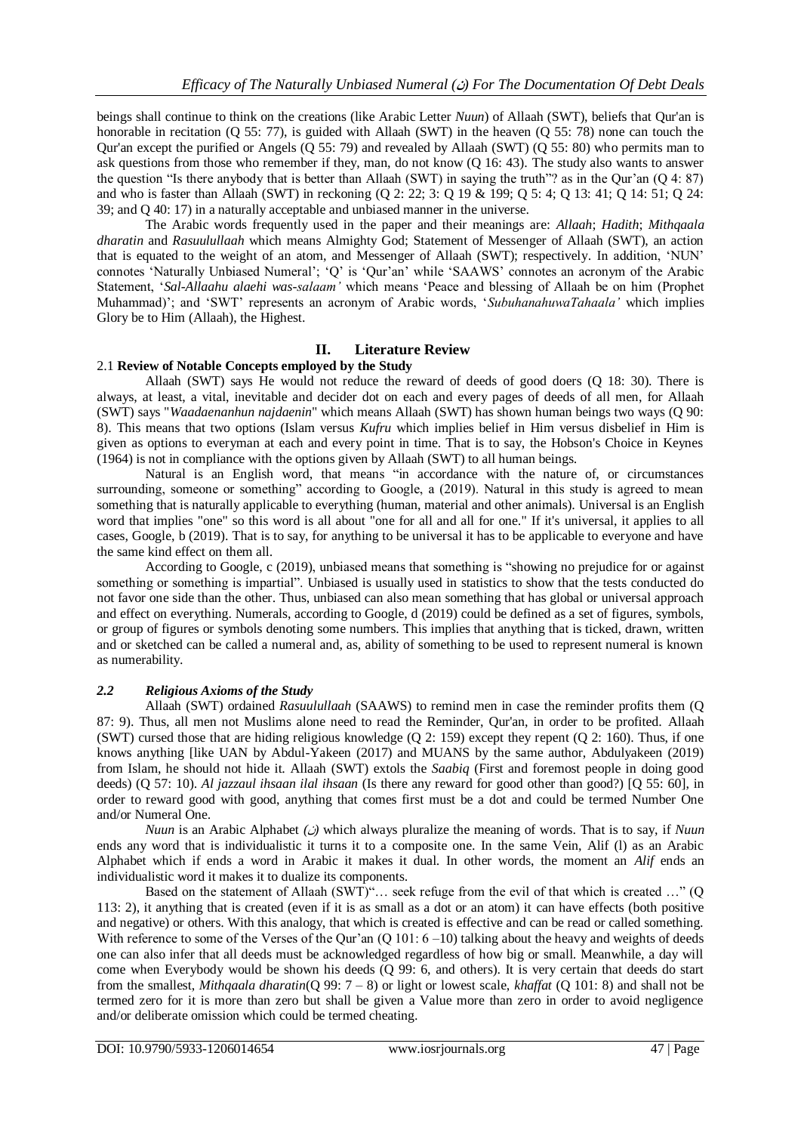beings shall continue to think on the creations (like Arabic Letter *Nuun*) of Allaah (SWT), beliefs that Qur'an is honorable in recitation (Q 55: 77), is guided with Allaah (SWT) in the heaven (Q 55: 78) none can touch the Qur'an except the purified or Angels (Q 55: 79) and revealed by Allaah (SWT) (Q 55: 80) who permits man to ask questions from those who remember if they, man, do not know (Q 16: 43). The study also wants to answer the question "Is there anybody that is better than Allaah (SWT) in saying the truth"? as in the Qur'an (Q 4: 87) and who is faster than Allaah (SWT) in reckoning (Q 2: 22; 3: Q 19 & 199; Q 5: 4; Q 13: 41; Q 14: 51; Q 24: 39; and Q 40: 17) in a naturally acceptable and unbiased manner in the universe.

The Arabic words frequently used in the paper and their meanings are: *Allaah*; *Hadith*; *Mithqaala dharatin* and *Rasuulullaah* which means Almighty God; Statement of Messenger of Allaah (SWT), an action that is equated to the weight of an atom, and Messenger of Allaah (SWT); respectively. In addition, 'NUN' connotes 'Naturally Unbiased Numeral'; 'Q' is 'Qur'an' while 'SAAWS' connotes an acronym of the Arabic Statement, '*Sal-Allaahu alaehi was-salaam'* which means 'Peace and blessing of Allaah be on him (Prophet Muhammad)'; and 'SWT' represents an acronym of Arabic words, '*SubuhanahuwaTahaala'* which implies Glory be to Him (Allaah), the Highest.

## **II. Literature Review**

#### 2.1 **Review of Notable Concepts employed by the Study**

Allaah (SWT) says He would not reduce the reward of deeds of good doers (Q 18: 30). There is always, at least, a vital, inevitable and decider dot on each and every pages of deeds of all men, for Allaah (SWT) says "*Waadaenanhun najdaenin*" which means Allaah (SWT) has shown human beings two ways (Q 90: 8). This means that two options (Islam versus *Kufru* which implies belief in Him versus disbelief in Him is given as options to everyman at each and every point in time. That is to say, the Hobson's Choice in Keynes (1964) is not in compliance with the options given by Allaah (SWT) to all human beings.

Natural is an English word, that means "in accordance with the nature of, or circumstances surrounding, someone or something" according to Google, a (2019). Natural in this study is agreed to mean something that is naturally applicable to everything (human, material and other animals). Universal is an English word that implies "one" so this word is all about "one for all and all for one." If it's universal, it applies to all cases, Google, b (2019). That is to say, for anything to be universal it has to be applicable to everyone and have the same kind effect on them all.

According to Google, c (2019), unbiased means that something is "showing no prejudice for or against something or something is impartial". Unbiased is usually used in statistics to show that the tests conducted do not favor one side than the other. Thus, unbiased can also mean something that has global or universal approach and effect on everything. Numerals, according to Google, d (2019) could be defined as a set of figures, symbols, or group of figures or symbols denoting some numbers. This implies that anything that is ticked, drawn, written and or sketched can be called a numeral and, as, ability of something to be used to represent numeral is known as numerability.

#### *2.2 Religious Axioms of the Study*

Allaah (SWT) ordained *Rasuulullaah* (SAAWS) to remind men in case the reminder profits them (Q 87: 9). Thus, all men not Muslims alone need to read the Reminder, Qur'an, in order to be profited. Allaah (SWT) cursed those that are hiding religious knowledge (Q 2: 159) except they repent (Q 2: 160). Thus, if one knows anything [like UAN by Abdul-Yakeen (2017) and MUANS by the same author, Abdulyakeen (2019) from Islam, he should not hide it. Allaah (SWT) extols the *Saabiq* (First and foremost people in doing good deeds) (Q 57: 10). *Al jazzaul ihsaan ilal ihsaan* (Is there any reward for good other than good?) [Q 55: 60], in order to reward good with good, anything that comes first must be a dot and could be termed Number One and/or Numeral One.

*Nuun* is an Arabic Alphabet  $(\omega)$  which always pluralize the meaning of words. That is to say, if *Nuun* ends any word that is individualistic it turns it to a composite one. In the same Vein, Alif (l) as an Arabic Alphabet which if ends a word in Arabic it makes it dual. In other words, the moment an *Alif* ends an individualistic word it makes it to dualize its components.

Based on the statement of Allaah (SWT)"… seek refuge from the evil of that which is created …" (Q 113: 2), it anything that is created (even if it is as small as a dot or an atom) it can have effects (both positive and negative) or others. With this analogy, that which is created is effective and can be read or called something. With reference to some of the Verses of the Qur'an (Q 101: 6 –10) talking about the heavy and weights of deeds one can also infer that all deeds must be acknowledged regardless of how big or small. Meanwhile, a day will come when Everybody would be shown his deeds (Q 99: 6, and others). It is very certain that deeds do start from the smallest, *Mithqaala dharatin*(Q 99: 7 – 8) or light or lowest scale, *khaffat* (Q 101: 8) and shall not be termed zero for it is more than zero but shall be given a Value more than zero in order to avoid negligence and/or deliberate omission which could be termed cheating.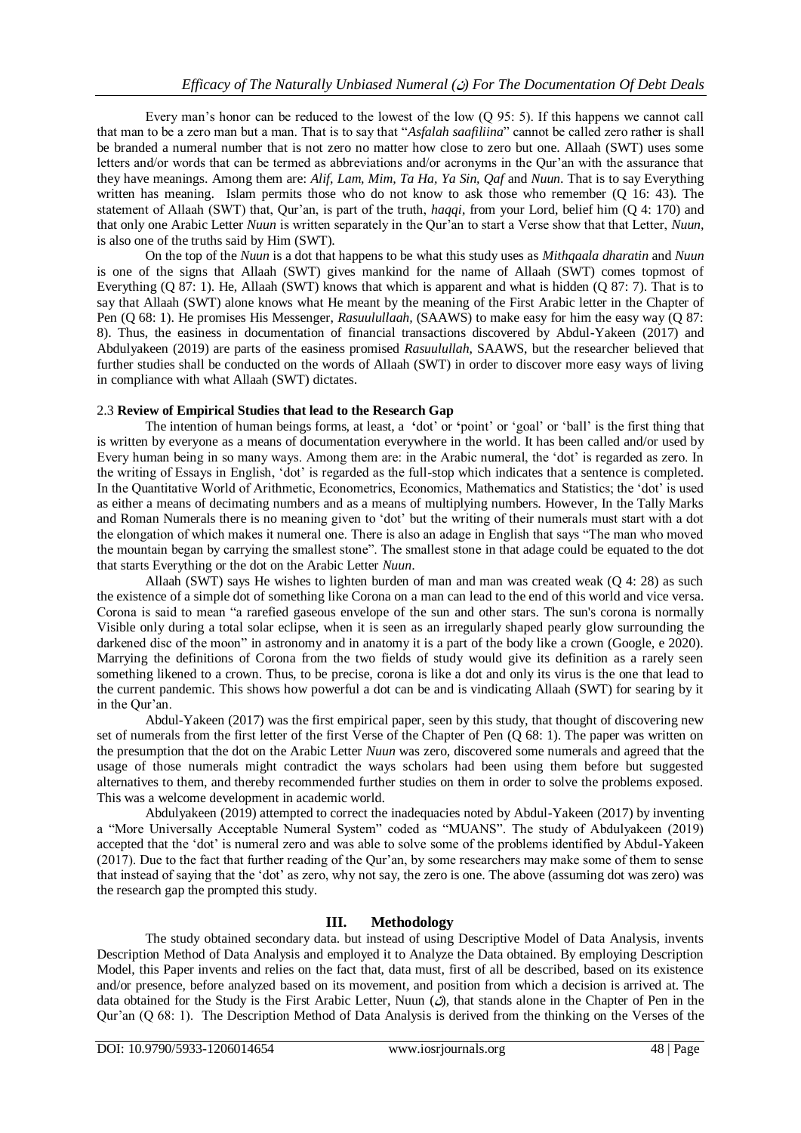Every man's honor can be reduced to the lowest of the low (Q 95: 5). If this happens we cannot call that man to be a zero man but a man. That is to say that "*Asfalah saafiliina*" cannot be called zero rather is shall be branded a numeral number that is not zero no matter how close to zero but one. Allaah (SWT) uses some letters and/or words that can be termed as abbreviations and/or acronyms in the Qur'an with the assurance that they have meanings. Among them are: *Alif, Lam, Mim, Ta Ha, Ya Sin, Qaf* and *Nuun*. That is to say Everything written has meaning. Islam permits those who do not know to ask those who remember (Q 16: 43). The statement of Allaah (SWT) that, Qur'an, is part of the truth, *haqqi*, from your Lord, belief him (Q 4: 170) and that only one Arabic Letter *Nuun* is written separately in the Qur'an to start a Verse show that that Letter, *Nuun,* is also one of the truths said by Him (SWT).

On the top of the *Nuun* is a dot that happens to be what this study uses as *Mithqaala dharatin* and *Nuun* is one of the signs that Allaah (SWT) gives mankind for the name of Allaah (SWT) comes topmost of Everything (Q 87: 1). He, Allaah (SWT) knows that which is apparent and what is hidden (Q 87: 7). That is to say that Allaah (SWT) alone knows what He meant by the meaning of the First Arabic letter in the Chapter of Pen (Q 68: 1). He promises His Messenger, *Rasuulullaah,* (SAAWS) to make easy for him the easy way (Q 87: 8). Thus, the easiness in documentation of financial transactions discovered by Abdul-Yakeen (2017) and Abdulyakeen (2019) are parts of the easiness promised *Rasuulullah*, SAAWS, but the researcher believed that further studies shall be conducted on the words of Allaah (SWT) in order to discover more easy ways of living in compliance with what Allaah (SWT) dictates.

## 2.3 **Review of Empirical Studies that lead to the Research Gap**

The intention of human beings forms, at least, a **'**dot' or **'**point' or 'goal' or 'ball' is the first thing that is written by everyone as a means of documentation everywhere in the world. It has been called and/or used by Every human being in so many ways. Among them are: in the Arabic numeral, the 'dot' is regarded as zero. In the writing of Essays in English, 'dot' is regarded as the full-stop which indicates that a sentence is completed. In the Quantitative World of Arithmetic, Econometrics, Economics, Mathematics and Statistics; the 'dot' is used as either a means of decimating numbers and as a means of multiplying numbers. However, In the Tally Marks and Roman Numerals there is no meaning given to 'dot' but the writing of their numerals must start with a dot the elongation of which makes it numeral one. There is also an adage in English that says "The man who moved the mountain began by carrying the smallest stone". The smallest stone in that adage could be equated to the dot that starts Everything or the dot on the Arabic Letter *Nuun*.

Allaah (SWT) says He wishes to lighten burden of man and man was created weak (Q 4: 28) as such the existence of a simple dot of something like Corona on a man can lead to the end of this world and vice versa. Corona is said to mean "a rarefied gaseous envelope of the sun and other stars. The sun's corona is normally Visible only during a total solar eclipse, when it is seen as an irregularly shaped pearly glow surrounding the darkened disc of the moon" in astronomy and in anatomy it is a part of the body like a crown (Google, e 2020). Marrying the definitions of Corona from the two fields of study would give its definition as a rarely seen something likened to a crown. Thus, to be precise, corona is like a dot and only its virus is the one that lead to the current pandemic. This shows how powerful a dot can be and is vindicating Allaah (SWT) for searing by it in the Qur'an.

Abdul-Yakeen (2017) was the first empirical paper, seen by this study, that thought of discovering new set of numerals from the first letter of the first Verse of the Chapter of Pen (Q 68: 1). The paper was written on the presumption that the dot on the Arabic Letter *Nuun* was zero, discovered some numerals and agreed that the usage of those numerals might contradict the ways scholars had been using them before but suggested alternatives to them, and thereby recommended further studies on them in order to solve the problems exposed. This was a welcome development in academic world.

Abdulyakeen (2019) attempted to correct the inadequacies noted by Abdul-Yakeen (2017) by inventing a "More Universally Acceptable Numeral System" coded as "MUANS". The study of Abdulyakeen (2019) accepted that the 'dot' is numeral zero and was able to solve some of the problems identified by Abdul-Yakeen (2017). Due to the fact that further reading of the Qur'an, by some researchers may make some of them to sense that instead of saying that the 'dot' as zero, why not say, the zero is one. The above (assuming dot was zero) was the research gap the prompted this study.

## **III. Methodology**

The study obtained secondary data. but instead of using Descriptive Model of Data Analysis, invents Description Method of Data Analysis and employed it to Analyze the Data obtained. By employing Description Model, this Paper invents and relies on the fact that, data must, first of all be described, based on its existence and/or presence, before analyzed based on its movement, and position from which a decision is arrived at. The data obtained for the Study is the First Arabic Letter, Nuun  $(Q)$ , that stands alone in the Chapter of Pen in the Qur'an (Q 68: 1). The Description Method of Data Analysis is derived from the thinking on the Verses of the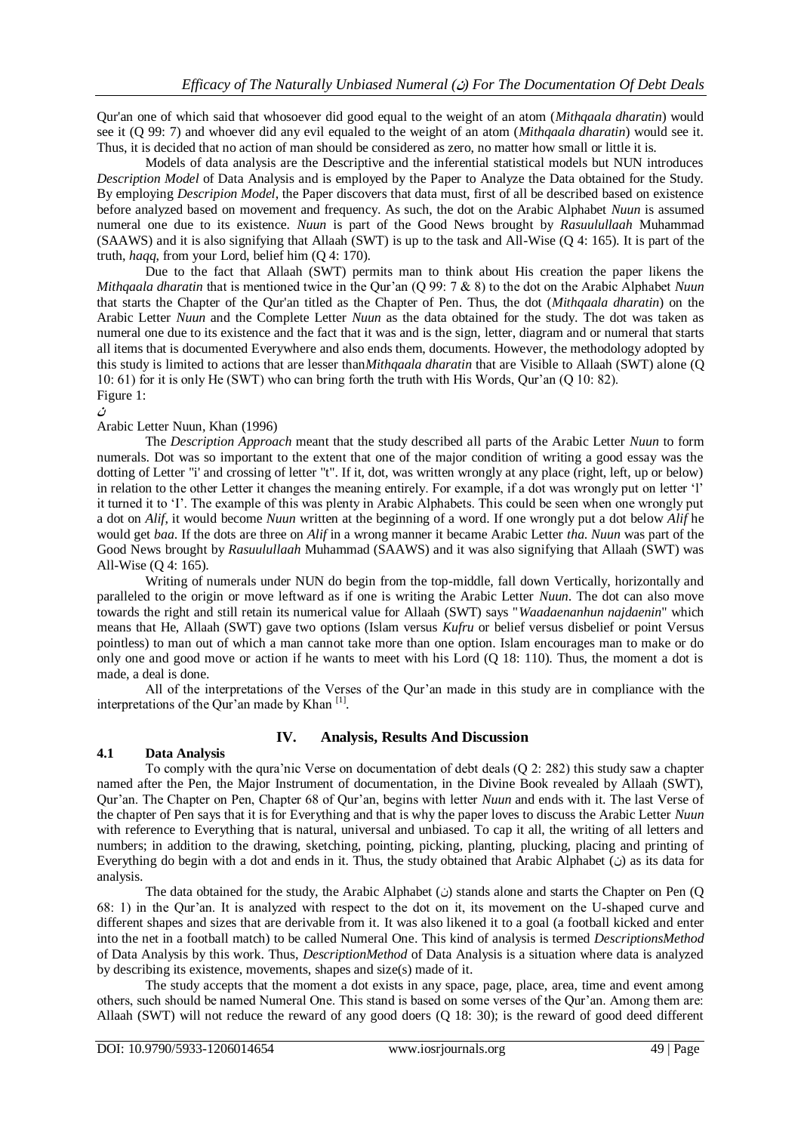Qur'an one of which said that whosoever did good equal to the weight of an atom (*Mithqaala dharatin*) would see it (Q 99: 7) and whoever did any evil equaled to the weight of an atom (*Mithqaala dharatin*) would see it. Thus, it is decided that no action of man should be considered as zero, no matter how small or little it is.

Models of data analysis are the Descriptive and the inferential statistical models but NUN introduces *Description Model* of Data Analysis and is employed by the Paper to Analyze the Data obtained for the Study. By employing *Descripion Model*, the Paper discovers that data must, first of all be described based on existence before analyzed based on movement and frequency. As such, the dot on the Arabic Alphabet *Nuun* is assumed numeral one due to its existence. *Nuun* is part of the Good News brought by *Rasuulullaah* Muhammad (SAAWS) and it is also signifying that Allaah (SWT) is up to the task and All-Wise (Q 4: 165). It is part of the truth, *haqq*, from your Lord, belief him (Q 4: 170).

Due to the fact that Allaah (SWT) permits man to think about His creation the paper likens the *Mithqaala dharatin* that is mentioned twice in the Qur'an (Q 99: 7 & 8) to the dot on the Arabic Alphabet *Nuun* that starts the Chapter of the Qur'an titled as the Chapter of Pen. Thus, the dot (*Mithqaala dharatin*) on the Arabic Letter *Nuun* and the Complete Letter *Nuun* as the data obtained for the study. The dot was taken as numeral one due to its existence and the fact that it was and is the sign, letter, diagram and or numeral that starts all items that is documented Everywhere and also ends them, documents. However, the methodology adopted by this study is limited to actions that are lesser than*Mithqaala dharatin* that are Visible to Allaah (SWT) alone (Q 10: 61) for it is only He (SWT) who can bring forth the truth with His Words, Qur'an (Q 10: 82). Figure 1:

**ن**

## Arabic Letter Nuun, Khan (1996)

The *Description Approach* meant that the study described all parts of the Arabic Letter *Nuun* to form numerals. Dot was so important to the extent that one of the major condition of writing a good essay was the dotting of Letter "i' and crossing of letter "t". If it, dot, was written wrongly at any place (right, left, up or below) in relation to the other Letter it changes the meaning entirely. For example, if a dot was wrongly put on letter 'l' it turned it to 'I'. The example of this was plenty in Arabic Alphabets. This could be seen when one wrongly put a dot on *Alif*, it would become *Nuun* written at the beginning of a word. If one wrongly put a dot below *Alif* he would get *baa*. If the dots are three on *Alif* in a wrong manner it became Arabic Letter *tha*. *Nuun* was part of the Good News brought by *Rasuulullaah* Muhammad (SAAWS) and it was also signifying that Allaah (SWT) was All-Wise (Q 4: 165).

Writing of numerals under NUN do begin from the top-middle, fall down Vertically, horizontally and paralleled to the origin or move leftward as if one is writing the Arabic Letter *Nuun*. The dot can also move towards the right and still retain its numerical value for Allaah (SWT) says "*Waadaenanhun najdaenin*" which means that He, Allaah (SWT) gave two options (Islam versus *Kufru* or belief versus disbelief or point Versus pointless) to man out of which a man cannot take more than one option. Islam encourages man to make or do only one and good move or action if he wants to meet with his Lord (Q 18: 110). Thus, the moment a dot is made, a deal is done.

All of the interpretations of the Verses of the Qur'an made in this study are in compliance with the interpretations of the Qur'an made by Khan [1].

## **4.1 Data Analysis**

## **IV. Analysis, Results And Discussion**

To comply with the qura'nic Verse on documentation of debt deals (Q 2: 282) this study saw a chapter named after the Pen, the Major Instrument of documentation, in the Divine Book revealed by Allaah (SWT), Qur'an. The Chapter on Pen, Chapter 68 of Qur'an, begins with letter *Nuun* and ends with it. The last Verse of the chapter of Pen says that it is for Everything and that is why the paper loves to discuss the Arabic Letter *Nuun* with reference to Everything that is natural, universal and unbiased. To cap it all, the writing of all letters and numbers; in addition to the drawing, sketching, pointing, picking, planting, plucking, placing and printing of Everything do begin with a dot and ends in it. Thus, the study obtained that Arabic Alphabet ( $\dot{\omega}$ ) as its data for analysis.

The data obtained for the study, the Arabic Alphabet ( $\dot{\omega}$ ) stands alone and starts the Chapter on Pen (Q 68: 1) in the Qur'an. It is analyzed with respect to the dot on it, its movement on the U-shaped curve and different shapes and sizes that are derivable from it. It was also likened it to a goal (a football kicked and enter into the net in a football match) to be called Numeral One. This kind of analysis is termed *DescriptionsMethod* of Data Analysis by this work. Thus, *DescriptionMethod* of Data Analysis is a situation where data is analyzed by describing its existence, movements, shapes and size(s) made of it.

The study accepts that the moment a dot exists in any space, page, place, area, time and event among others, such should be named Numeral One. This stand is based on some verses of the Qur'an. Among them are: Allaah (SWT) will not reduce the reward of any good doers (Q 18: 30); is the reward of good deed different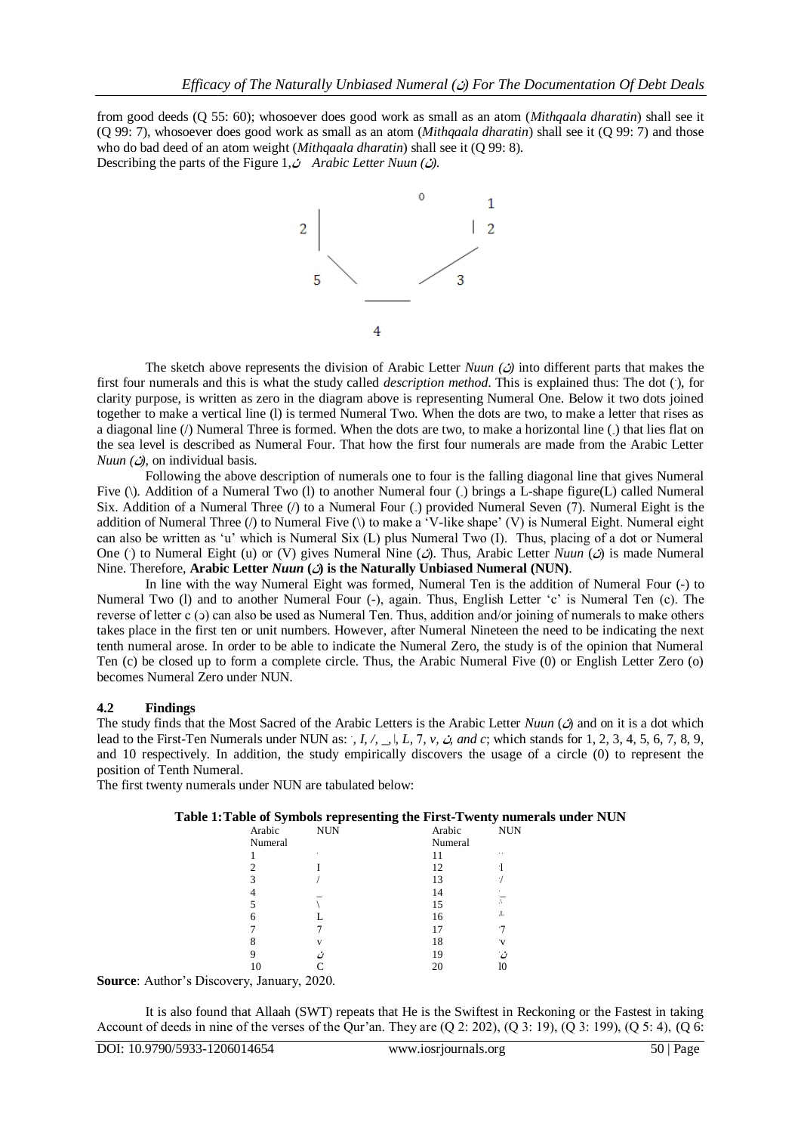from good deeds (Q 55: 60); whosoever does good work as small as an atom (*Mithqaala dharatin*) shall see it (Q 99: 7), whosoever does good work as small as an atom (*Mithqaala dharatin*) shall see it (Q 99: 7) and those who do bad deed of an atom weight *(Mithqaala dharatin)* shall see it (Q 99: 8). Describing the parts of the Figure 1,**ن** *Arabic Letter Nuun (***ن***(*.



The sketch above represents the division of Arabic Letter *Nuun*  $(\Delta)$  into different parts that makes the first four numerals and this is what the study called *description method*. This is explained thus: The dot (), for clarity purpose, is written as zero in the diagram above is representing Numeral One. Below it two dots joined together to make a vertical line (l) is termed Numeral Two. When the dots are two, to make a letter that rises as a diagonal line (/) Numeral Three is formed. When the dots are two, to make a horizontal line (-) that lies flat on the sea level is described as Numeral Four. That how the first four numerals are made from the Arabic Letter *Nuun*  $(\omega)$ , on individual basis.

Following the above description of numerals one to four is the falling diagonal line that gives Numeral Five (\). Addition of a Numeral Two (1) to another Numeral four (.) brings a L-shape figure(L) called Numeral Six. Addition of a Numeral Three (/) to a Numeral Four (.) provided Numeral Seven (7). Numeral Eight is the addition of Numeral Three (/) to Numeral Five (\) to make a 'V-like shape' (V) is Numeral Eight. Numeral eight can also be written as 'u' which is Numeral Six (L) plus Numeral Two (I). Thus, placing of a dot or Numeral One () to Numeral Eight (u) or (V) gives Numeral Nine (*c*). Thus, Arabic Letter *Nuun* (*c*) is made Numeral Nine. Therefore, **Arabic Letter** *Nuun* **(ن (is the Naturally Unbiased Numeral (NUN)**.

In line with the way Numeral Eight was formed, Numeral Ten is the addition of Numeral Four (-) to Numeral Two (l) and to another Numeral Four (-), again. Thus, English Letter 'c' is Numeral Ten (c). The reverse of letter c (5) can also be used as Numeral Ten. Thus, addition and/or joining of numerals to make others takes place in the first ten or unit numbers. However, after Numeral Nineteen the need to be indicating the next tenth numeral arose. In order to be able to indicate the Numeral Zero, the study is of the opinion that Numeral Ten (c) be closed up to form a complete circle. Thus, the Arabic Numeral Five (0) or English Letter Zero (o) becomes Numeral Zero under NUN.

#### **4.2 Findings**

The study finds that the Most Sacred of the Arabic Letters is the Arabic Letter *Nuun (* $\hat{\omega}$ ) and on it is a dot which lead to the First-Ten Numerals under NUN as: *, I, /, \_, \, L, 7, v,*  $\dot{G}$  *and c*; which stands for 1, 2, 3, 4, 5, 6, 7, 8, 9, and 10 respectively. In addition, the study empirically discovers the usage of a circle (0) to represent the position of Tenth Numeral.

The first twenty numerals under NUN are tabulated below:

|  |  | Table 1: Table of Symbols representing the First-Twenty numerals under NUN |
|--|--|----------------------------------------------------------------------------|
|  |  |                                                                            |

| $\cdot$ | -<br>~       |         |            |
|---------|--------------|---------|------------|
| Arabic  | <b>NUN</b>   | Arabic  | <b>NUN</b> |
| Numeral |              | Numeral |            |
|         | ٠            |         | . .        |
| 2       |              | 12      |            |
| 3       |              | 13      |            |
|         |              | 14      |            |
|         |              | 15      |            |
| 6       |              | 16      | .L         |
|         |              | 17      |            |
| 8       | $\mathbf{V}$ | 18      |            |
| 9       |              | 19      | مبر .      |
| 10      |              |         | ю          |
|         |              |         |            |

**Source**: Author's Discovery, January, 2020.

It is also found that Allaah (SWT) repeats that He is the Swiftest in Reckoning or the Fastest in taking Account of deeds in nine of the verses of the Qur'an. They are (Q 2: 202), (Q 3: 19), (Q 3: 199), (Q 5: 4), (Q 6: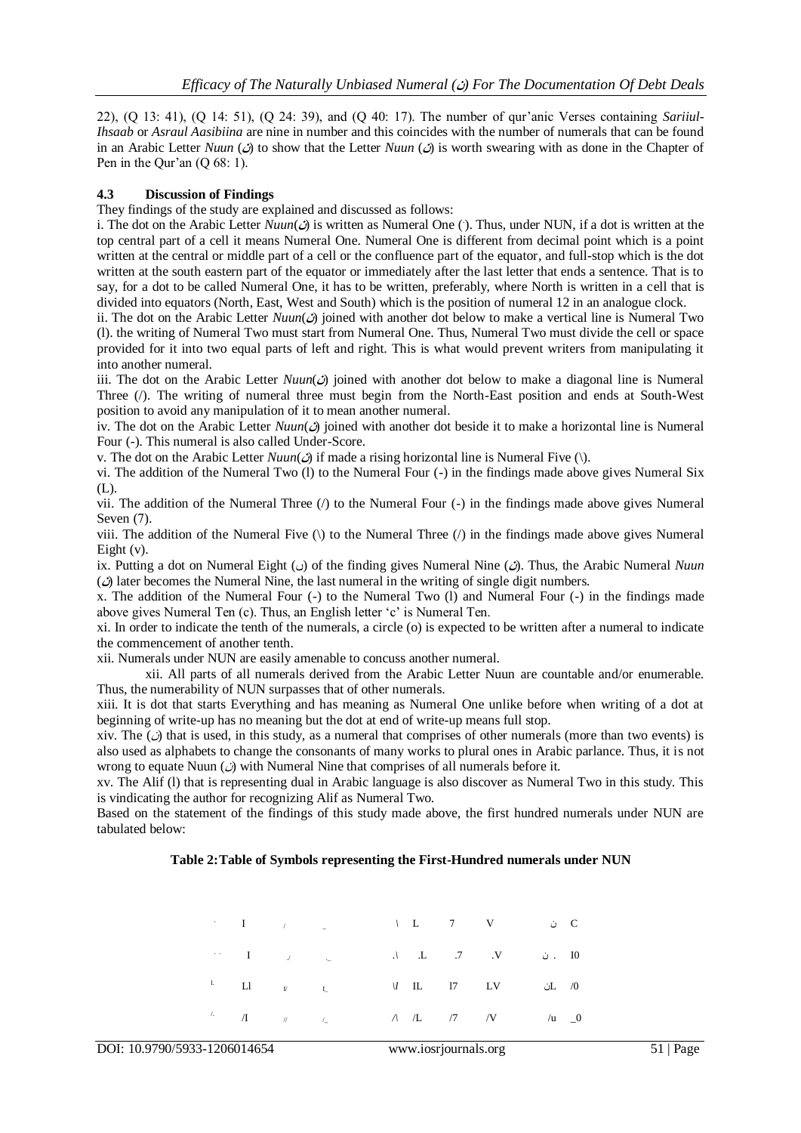22), (Q 13: 41), (Q 14: 51), (Q 24: 39), and (Q 40: 17). The number of qur'anic Verses containing *Sariiul-Ihsaab* or *Asraul Aasibiina* are nine in number and this coincides with the number of numerals that can be found in an Arabic Letter *Nuun* ( $\hat{\omega}$ ) to show that the Letter *Nuun* ( $\hat{\omega}$ ) is worth swearing with as done in the Chapter of Pen in the Qur'an (Q 68: 1).

## **4.3 Discussion of Findings**

They findings of the study are explained and discussed as follows:

i. The dot on the Arabic Letter  $N$ *uun* $\omega$  is written as Numeral One (). Thus, under NUN, if a dot is written at the top central part of a cell it means Numeral One. Numeral One is different from decimal point which is a point written at the central or middle part of a cell or the confluence part of the equator, and full-stop which is the dot written at the south eastern part of the equator or immediately after the last letter that ends a sentence. That is to say, for a dot to be called Numeral One, it has to be written, preferably, where North is written in a cell that is divided into equators (North, East, West and South) which is the position of numeral 12 in an analogue clock.

ii. The dot on the Arabic Letter  $Num(\mathcal{O})$  joined with another dot below to make a vertical line is Numeral Two (l). the writing of Numeral Two must start from Numeral One. Thus, Numeral Two must divide the cell or space provided for it into two equal parts of left and right. This is what would prevent writers from manipulating it into another numeral.

iii. The dot on the Arabic Letter  $Num(\mathcal{O})$  joined with another dot below to make a diagonal line is Numeral Three (/). The writing of numeral three must begin from the North-East position and ends at South-West position to avoid any manipulation of it to mean another numeral.

iv. The dot on the Arabic Letter *Nuun*( $\hat{\omega}$ ) joined with another dot beside it to make a horizontal line is Numeral Four (-). This numeral is also called Under-Score.

v. The dot on the Arabic Letter  $Num(\mathcal{O})$  if made a rising horizontal line is Numeral Five (\).

vi. The addition of the Numeral Two (l) to the Numeral Four (-) in the findings made above gives Numeral Six (L).

vii. The addition of the Numeral Three  $($ ) to the Numeral Four  $(-)$  in the findings made above gives Numeral Seven (7).

viii. The addition of the Numeral Five  $\langle \rangle$  to the Numeral Three  $\langle \rangle$  in the findings made above gives Numeral Eight (v).

ix. Putting a dot on Numeral Eight ( $\cup$ ) of the finding gives Numeral Nine ( $\angle$ ). Thus, the Arabic Numeral *Nuun*  $\hat{\omega}$  later becomes the Numeral Nine, the last numeral in the writing of single digit numbers.

x. The addition of the Numeral Four (-) to the Numeral Two (l) and Numeral Four (-) in the findings made above gives Numeral Ten (c). Thus, an English letter 'c' is Numeral Ten.

xi. In order to indicate the tenth of the numerals, a circle (o) is expected to be written after a numeral to indicate the commencement of another tenth.

xii. Numerals under NUN are easily amenable to concuss another numeral.

xii. All parts of all numerals derived from the Arabic Letter Nuun are countable and/or enumerable. Thus, the numerability of NUN surpasses that of other numerals.

xiii. It is dot that starts Everything and has meaning as Numeral One unlike before when writing of a dot at beginning of write-up has no meaning but the dot at end of write-up means full stop.

xiv. The  $\omega$  that is used, in this study, as a numeral that comprises of other numerals (more than two events) is also used as alphabets to change the consonants of many works to plural ones in Arabic parlance. Thus, it is not wrong to equate Nuun  $\omega$  with Numeral Nine that comprises of all numerals before it.

xv. The Alif (l) that is representing dual in Arabic language is also discover as Numeral Two in this study. This is vindicating the author for recognizing Alif as Numeral Two.

Based on the statement of the findings of this study made above, the first hundred numerals under NUN are tabulated below:

## **Table 2:Table of Symbols representing the First-Hundred numerals under NUN**

|  | <sup>1</sup> Ll $_V$ <sub>I</sub> $\sqrt{l}$ II 17 LV $\omega L \neq 0$                                                                                                                                                                                                                                                                                     |  |  |
|--|-------------------------------------------------------------------------------------------------------------------------------------------------------------------------------------------------------------------------------------------------------------------------------------------------------------------------------------------------------------|--|--|
|  | $\mathcal{A}$ $\mathcal{A}$ $\mathcal{A}$ $\mathcal{A}$ $\mathcal{A}$ $\mathcal{A}$ $\mathcal{A}$ $\mathcal{A}$ $\mathcal{A}$ $\mathcal{A}$ $\mathcal{A}$ $\mathcal{A}$ $\mathcal{A}$ $\mathcal{A}$ $\mathcal{A}$ $\mathcal{A}$ $\mathcal{A}$ $\mathcal{A}$ $\mathcal{A}$ $\mathcal{A}$ $\mathcal{A}$ $\mathcal{A}$ $\mathcal{A}$ $\mathcal{A}$ $\mathcal{$ |  |  |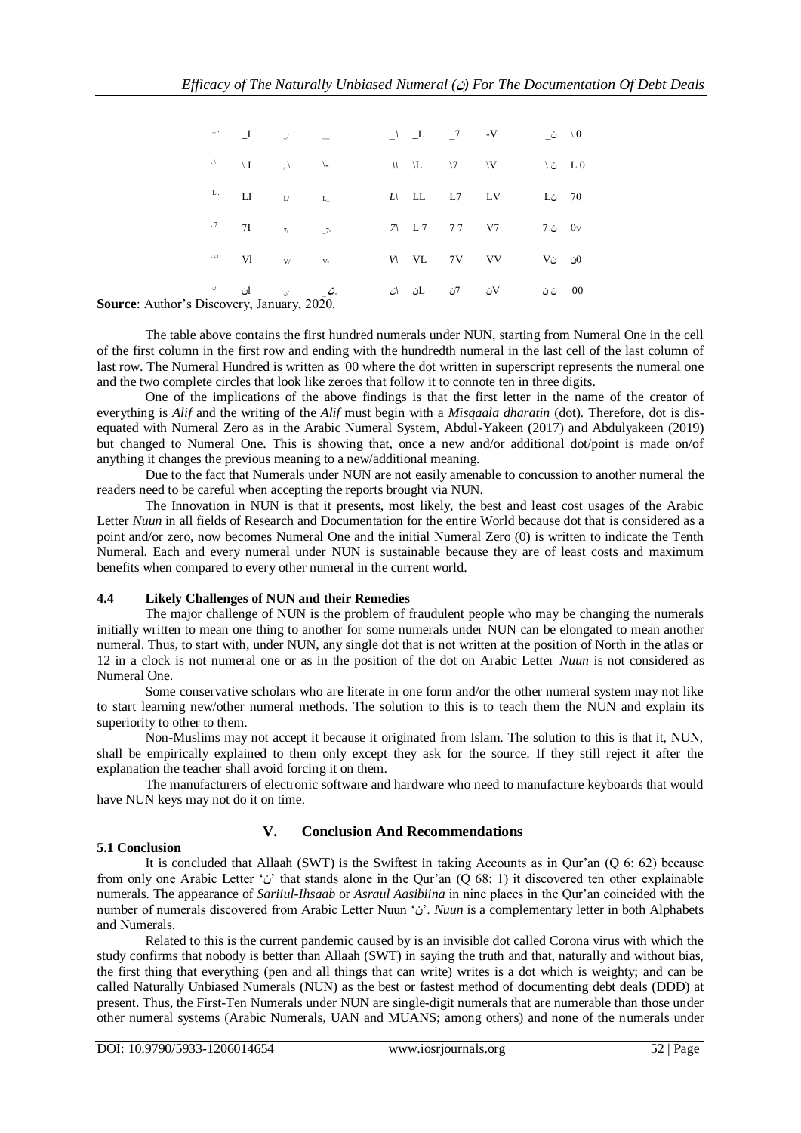|                        | $\blacksquare$                                                                                                         |  |  |  | 0 \ ن_                                  |  |
|------------------------|------------------------------------------------------------------------------------------------------------------------|--|--|--|-----------------------------------------|--|
|                        | $\mathcal{N} = \mathcal{N}$                                                                                            |  |  |  | \L \7 \V \ \ \ L 0                      |  |
|                        | $\begin{array}{ccc} \mathbf{L} . & & \mathbf{L} \mathbf{I} & & \mathbf{L} \end{array}$                                 |  |  |  | $L\setminus$ LL L7 LV L <sub>0</sub> 70 |  |
|                        | $.7$ 7I $7/2$                                                                                                          |  |  |  | 7\ L7 77 V7 7 i 0v                      |  |
|                        | $\cdot \,\, \overset{\circ}{\circ}\qquad \quad \mathbf{VI} \qquad \qquad \mathbf{V} \qquad \qquad \mathbf{V} \text{-}$ |  |  |  | $V_1$ VL 7V VV V V VO $U_2$             |  |
| Discovery January 2020 | <i>ـث</i> ے <sub>ن</sub> ان <sup>ن.</sup>                                                                              |  |  |  | 00 ن V کان 7ن ان X ن ن D کان X          |  |

**Source**: Author's Discovery, January, 2020.

The table above contains the first hundred numerals under NUN, starting from Numeral One in the cell of the first column in the first row and ending with the hundredth numeral in the last cell of the last column of last row. The Numeral Hundred is written as 00 where the dot written in superscript represents the numeral one and the two complete circles that look like zeroes that follow it to connote ten in three digits.

One of the implications of the above findings is that the first letter in the name of the creator of everything is *Alif* and the writing of the *Alif* must begin with a *Misqaala dharatin* (dot). Therefore, dot is disequated with Numeral Zero as in the Arabic Numeral System, Abdul-Yakeen (2017) and Abdulyakeen (2019) but changed to Numeral One. This is showing that, once a new and/or additional dot/point is made on/of anything it changes the previous meaning to a new/additional meaning.

Due to the fact that Numerals under NUN are not easily amenable to concussion to another numeral the readers need to be careful when accepting the reports brought via NUN.

The Innovation in NUN is that it presents, most likely, the best and least cost usages of the Arabic Letter *Nuun* in all fields of Research and Documentation for the entire World because dot that is considered as a point and/or zero, now becomes Numeral One and the initial Numeral Zero (0) is written to indicate the Tenth Numeral. Each and every numeral under NUN is sustainable because they are of least costs and maximum benefits when compared to every other numeral in the current world.

## **4.4 Likely Challenges of NUN and their Remedies**

The major challenge of NUN is the problem of fraudulent people who may be changing the numerals initially written to mean one thing to another for some numerals under NUN can be elongated to mean another numeral. Thus, to start with, under NUN, any single dot that is not written at the position of North in the atlas or 12 in a clock is not numeral one or as in the position of the dot on Arabic Letter *Nuun* is not considered as Numeral One.

Some conservative scholars who are literate in one form and/or the other numeral system may not like to start learning new/other numeral methods. The solution to this is to teach them the NUN and explain its superiority to other to them.

Non-Muslims may not accept it because it originated from Islam. The solution to this is that it, NUN, shall be empirically explained to them only except they ask for the source. If they still reject it after the explanation the teacher shall avoid forcing it on them.

The manufacturers of electronic software and hardware who need to manufacture keyboards that would have NUN keys may not do it on time.

# **V. Conclusion And Recommendations**

#### **5.1 Conclusion**

It is concluded that Allaah (SWT) is the Swiftest in taking Accounts as in Qur'an (Q 6: 62) because from only one Arabic Letter 'v' that stands alone in the Qur'an  $\overline{Q}$  68: 1) it discovered ten other explainable numerals. The appearance of *Sariiul-Ihsaab* or *Asraul Aasibiina* in nine places in the Qur'an coincided with the number of numerals discovered from Arabic Letter Nuun 'ن'. *Nuun* is a complementary letter in both Alphabets and Numerals.

Related to this is the current pandemic caused by is an invisible dot called Corona virus with which the study confirms that nobody is better than Allaah (SWT) in saying the truth and that, naturally and without bias, the first thing that everything (pen and all things that can write) writes is a dot which is weighty; and can be called Naturally Unbiased Numerals (NUN) as the best or fastest method of documenting debt deals (DDD) at present. Thus, the First-Ten Numerals under NUN are single-digit numerals that are numerable than those under other numeral systems (Arabic Numerals, UAN and MUANS; among others) and none of the numerals under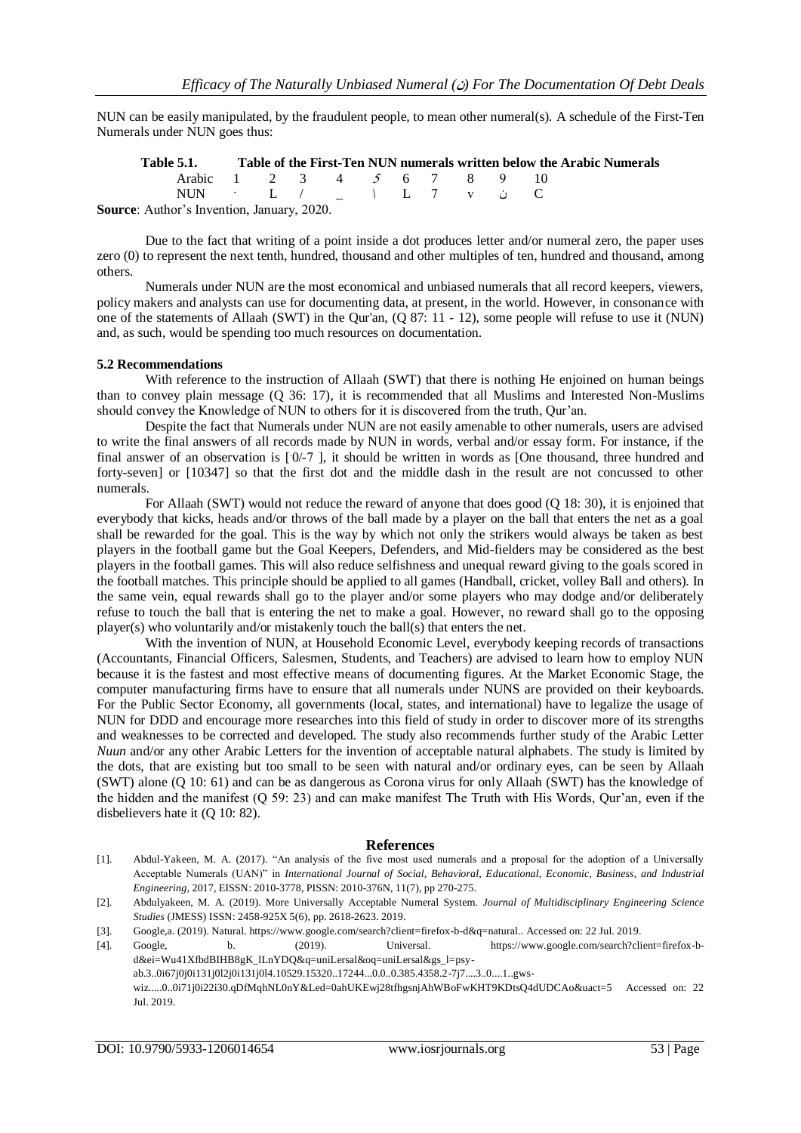NUN can be easily manipulated, by the fraudulent people, to mean other numeral(s). A schedule of the First-Ten Numerals under NUN goes thus:

**Table 5.1. Table of the First-Ten NUN numerals written below the Arabic Numerals** Arabic 1 2 3 4 5 6 7 8 9 10 NUN · L / \_ *\* L 7 v ن C **Source**: Author's Invention, January, 2020.

Due to the fact that writing of a point inside a dot produces letter and/or numeral zero, the paper uses zero (0) to represent the next tenth, hundred, thousand and other multiples of ten, hundred and thousand, among others.

Numerals under NUN are the most economical and unbiased numerals that all record keepers, viewers, policy makers and analysts can use for documenting data, at present, in the world. However, in consonance with one of the statements of Allaah (SWT) in the Qur'an, (Q 87: 11 - 12), some people will refuse to use it (NUN) and, as such, would be spending too much resources on documentation.

#### **5.2 Recommendations**

With reference to the instruction of Allaah (SWT) that there is nothing He enjoined on human beings than to convey plain message (Q 36: 17), it is recommended that all Muslims and Interested Non-Muslims should convey the Knowledge of NUN to others for it is discovered from the truth, Qur'an.

Despite the fact that Numerals under NUN are not easily amenable to other numerals, users are advised to write the final answers of all records made by NUN in words, verbal and/or essay form. For instance, if the final answer of an observation is [0/-7], it should be written in words as [One thousand, three hundred and forty-seven] or [10347] so that the first dot and the middle dash in the result are not concussed to other numerals.

For Allaah (SWT) would not reduce the reward of anyone that does good (Q 18: 30), it is enjoined that everybody that kicks, heads and/or throws of the ball made by a player on the ball that enters the net as a goal shall be rewarded for the goal. This is the way by which not only the strikers would always be taken as best players in the football game but the Goal Keepers, Defenders, and Mid-fielders may be considered as the best players in the football games. This will also reduce selfishness and unequal reward giving to the goals scored in the football matches. This principle should be applied to all games (Handball, cricket, volley Ball and others). In the same vein, equal rewards shall go to the player and/or some players who may dodge and/or deliberately refuse to touch the ball that is entering the net to make a goal. However, no reward shall go to the opposing player(s) who voluntarily and/or mistakenly touch the ball(s) that enters the net.

With the invention of NUN, at Household Economic Level, everybody keeping records of transactions (Accountants, Financial Officers, Salesmen, Students, and Teachers) are advised to learn how to employ NUN because it is the fastest and most effective means of documenting figures. At the Market Economic Stage, the computer manufacturing firms have to ensure that all numerals under NUNS are provided on their keyboards. For the Public Sector Economy, all governments (local, states, and international) have to legalize the usage of NUN for DDD and encourage more researches into this field of study in order to discover more of its strengths and weaknesses to be corrected and developed. The study also recommends further study of the Arabic Letter *Nuun* and/or any other Arabic Letters for the invention of acceptable natural alphabets. The study is limited by the dots, that are existing but too small to be seen with natural and/or ordinary eyes, can be seen by Allaah (SWT) alone (Q 10: 61) and can be as dangerous as Corona virus for only Allaah (SWT) has the knowledge of the hidden and the manifest (Q 59: 23) and can make manifest The Truth with His Words, Qur'an, even if the disbelievers hate it (Q 10: 82).

#### **References**

- [1]. Abdul-Yakeen, M. A. (2017). "An analysis of the five most used numerals and a proposal for the adoption of a Universally Acceptable Numerals (UAN)" in *International Journal of Social, Behavioral, Educational, Economic, Business, and Industrial Engineering,* 2017, EISSN: 2010-3778, PISSN: 2010-376N, 11(7), pp 270-275.
- [2]. Abdulyakeen, M. A. (2019). More Universally Acceptable Numeral System. *Journal of Multidisciplinary Engineering Science Studies* (JMESS) ISSN: 2458-925X 5(6), pp. 2618-2623. 2019.
- [3]. Google,a. (2019). Natural[. https://www.google.com/search?client=firefox-b-d&q=natural.](https://www.google.com/search?client=firefox-b-d&q=natural). Accessed on: 22 Jul. 2019.
- [4]. Google, b. (2019). Universal. [https://www.google.com/search?client=firefox-b](https://www.google.com/search?client=firefox-b-d&ei=Wu41XfbdBIHB8gK_lLnYDQ&q=universal&oq=universal&gs_l=psy-ab.3..0i67j0j0i131j0l2j0i131j0l4.10529.15320..17244...0.0..0.385.4358.2-7j7....3..0....1..gws-wiz.....0..0i71j0i22i30.qDfMqhNV0nY&ved=0ahUKEwj28tfhgsnjAhWBoFwKHT9KDtsQ4dUDCAo&uact=5)[d&ei=Wu41XfbdBIHB8gK\\_lLnYDQ&q=uniLersal&oq=uniLersal&gs\\_l=psy](https://www.google.com/search?client=firefox-b-d&ei=Wu41XfbdBIHB8gK_lLnYDQ&q=universal&oq=universal&gs_l=psy-ab.3..0i67j0j0i131j0l2j0i131j0l4.10529.15320..17244...0.0..0.385.4358.2-7j7....3..0....1..gws-wiz.....0..0i71j0i22i30.qDfMqhNV0nY&ved=0ahUKEwj28tfhgsnjAhWBoFwKHT9KDtsQ4dUDCAo&uact=5)[ab.3..0i67j0j0i131j0l2j0i131j0l4.10529.15320..17244...0.0..0.385.4358.2-7j7....3..0....1..gws-](https://www.google.com/search?client=firefox-b-d&ei=Wu41XfbdBIHB8gK_lLnYDQ&q=universal&oq=universal&gs_l=psy-ab.3..0i67j0j0i131j0l2j0i131j0l4.10529.15320..17244...0.0..0.385.4358.2-7j7....3..0....1..gws-wiz.....0..0i71j0i22i30.qDfMqhNV0nY&ved=0ahUKEwj28tfhgsnjAhWBoFwKHT9KDtsQ4dUDCAo&uact=5)

[wiz.....0..0i71j0i22i30.qDfMqhNL0nY&Led=0ahUKEwj28tfhgsnjAhWBoFwKHT9KDtsQ4dUDCAo&uact=5](https://www.google.com/search?client=firefox-b-d&ei=Wu41XfbdBIHB8gK_lLnYDQ&q=universal&oq=universal&gs_l=psy-ab.3..0i67j0j0i131j0l2j0i131j0l4.10529.15320..17244...0.0..0.385.4358.2-7j7....3..0....1..gws-wiz.....0..0i71j0i22i30.qDfMqhNV0nY&ved=0ahUKEwj28tfhgsnjAhWBoFwKHT9KDtsQ4dUDCAo&uact=5) Accessed on: 22 Jul. 2019.